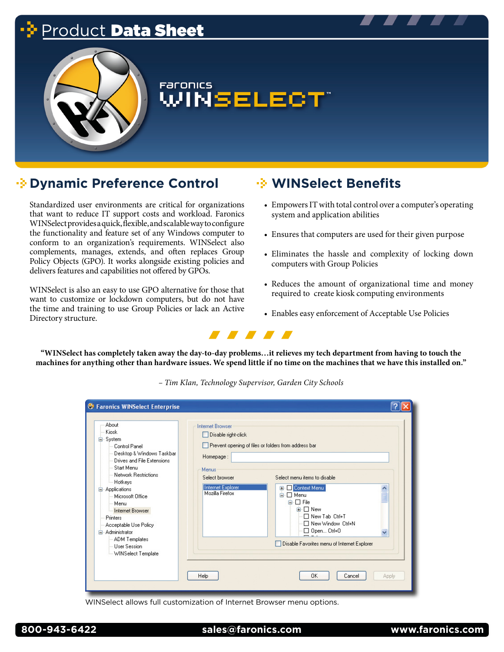# Product Data Sheet



## **Faronics** WINSELECT<sup>.</sup>

## **Bynamic Preference Control**

Standardized user environments are critical for organizations that want to reduce IT support costs and workload. Faronics WINSelect provides a quick, flexible, and scalable way to configure the functionality and feature set of any Windows computer to conform to an organization's requirements. WINSelect also complements, manages, extends, and often replaces Group Policy Objects (GPO). It works alongside existing policies and delivers features and capabilities not offered by GPOs.

WINSelect is also an easy to use GPO alternative for those that want to customize or lockdown computers, but do not have the time and training to use Group Policies or lack an Active Directory structure.

### **WINSelect Benefits**

- Empowers IT with total control over a computer's operating system and application abilities
- Ensures that computers are used for their given purpose
- • Eliminates the hassle and complexity of locking down computers with Group Policies
- Reduces the amount of organizational time and money required to create kiosk computing environments
- • Enables easy enforcement of Acceptable Use Policies



**"WINSelect has completely taken away the day-to-day problems…it relieves my tech department from having to touch the machines for anything other than hardware issues. We spend little if no time on the machines that we have this installed on."**

| ⊟-System<br>Control Panel<br>Desktop & Windows Taskbar<br>Drives and File Extensions<br>Start Menu<br>Network Restrictions<br>- Hotkeys<br>Applications<br>Microsoft Office<br>Menu<br>Internet Browser<br>Printers<br>Acceptable Use Policy<br><b>⊟</b> - Administrator<br><b>ADM Templates</b><br><b>User Session</b><br>- WINSelect Template | Disable right-click<br>Homepage:<br>Menus<br>Select browser<br><b>Internet Explorer</b><br>Mozilla Firefox | Prevent opening of files or folders from address bar<br>Select menu items to disable<br>$\hat{ }$<br>Context Menu<br>$\mathbf{H}$<br>E<br>$\Box$ Menu<br>Ėŀ<br><b>E</b> -□ File<br><b>E</b> □ New<br>-□ New Tab Ctrl+T<br>□ New Window Ctrl+N<br>□ Open Ctrl+0<br>$\checkmark$<br>Disable Favorites menu of Internet Explorer |  |
|-------------------------------------------------------------------------------------------------------------------------------------------------------------------------------------------------------------------------------------------------------------------------------------------------------------------------------------------------|------------------------------------------------------------------------------------------------------------|-------------------------------------------------------------------------------------------------------------------------------------------------------------------------------------------------------------------------------------------------------------------------------------------------------------------------------|--|
|-------------------------------------------------------------------------------------------------------------------------------------------------------------------------------------------------------------------------------------------------------------------------------------------------------------------------------------------------|------------------------------------------------------------------------------------------------------------|-------------------------------------------------------------------------------------------------------------------------------------------------------------------------------------------------------------------------------------------------------------------------------------------------------------------------------|--|

*– Tim Klan, Technology Supervisor, Garden City Schools*

WINSelect allows full customization of Internet Browser menu options.